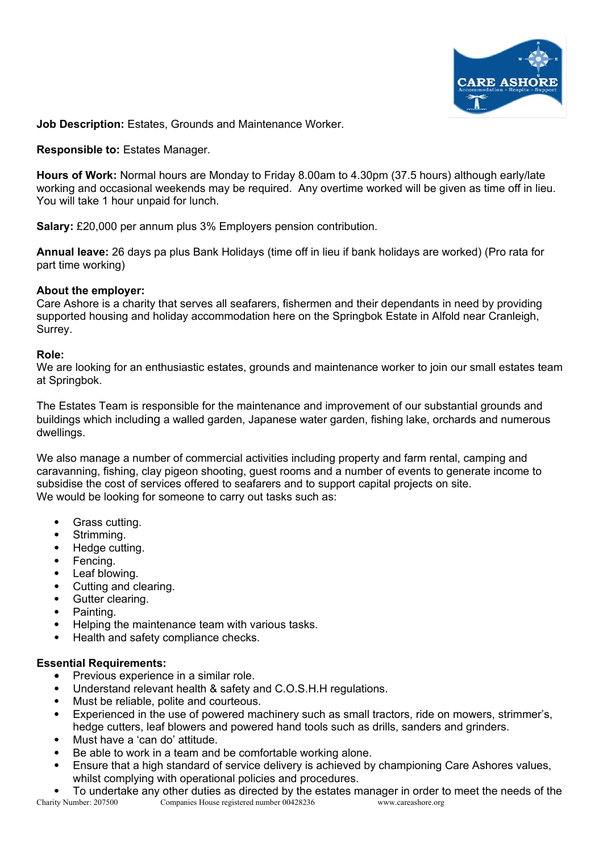

**Job Description:** Estates, Grounds and Maintenance Worker.

**Responsible to:** Estates Manager.

**Hours of Work:** Normal hours are Monday to Friday 8.00am to 4.30pm (37.5 hours) although early/late working and occasional weekends may be required. Any overtime worked will be given as time off in lieu. You will take 1 hour unpaid for lunch.

**Salary:** £20,000 per annum plus 3% Employers pension contribution.

**Annual leave:** 26 days pa plus Bank Holidays (time off in lieu if bank holidays are worked) (Pro rata for part time working)

## **About the employer:**

Care Ashore is a charity that serves all seafarers, fishermen and their dependants in need by providing supported housing and holiday accommodation here on the Springbok Estate in Alfold near Cranleigh, Surrey.

## **Role:**

We are looking for an enthusiastic estates, grounds and maintenance worker to join our small estates team at Springbok.

The Estates Team is responsible for the maintenance and improvement of our substantial grounds and buildings which including a walled garden, Japanese water garden, fishing lake, orchards and numerous dwellings.

We also manage a number of commercial activities including property and farm rental, camping and caravanning, fishing, clay pigeon shooting, guest rooms and a number of events to generate income to subsidise the cost of services offered to seafarers and to support capital projects on site. We would be looking for someone to carry out tasks such as:

- Grass cutting.
- Strimming.
- Hedge cutting.
- Fencing.
- Leaf blowing.
- Cutting and clearing.
- Gutter clearing.
- Painting.
- Helping the maintenance team with various tasks.
- Health and safety compliance checks.

## **Essential Requirements:**

- Previous experience in a similar role.
- Understand relevant health & safety and C.O.S.H.H regulations.
- Must be reliable, polite and courteous.
- Experienced in the use of powered machinery such as small tractors, ride on mowers, strimmer's, hedge cutters, leaf blowers and powered hand tools such as drills, sanders and grinders.
- Must have a 'can do' attitude.
- Be able to work in a team and be comfortable working alone.
- Ensure that a high standard of service delivery is achieved by championing Care Ashores values, whilst complying with operational policies and procedures.
- To undertake any other duties as directed by the estates manager in order to meet the needs of the Charity Number: 207500 Companies House registered number 00428236 www.careashore.org